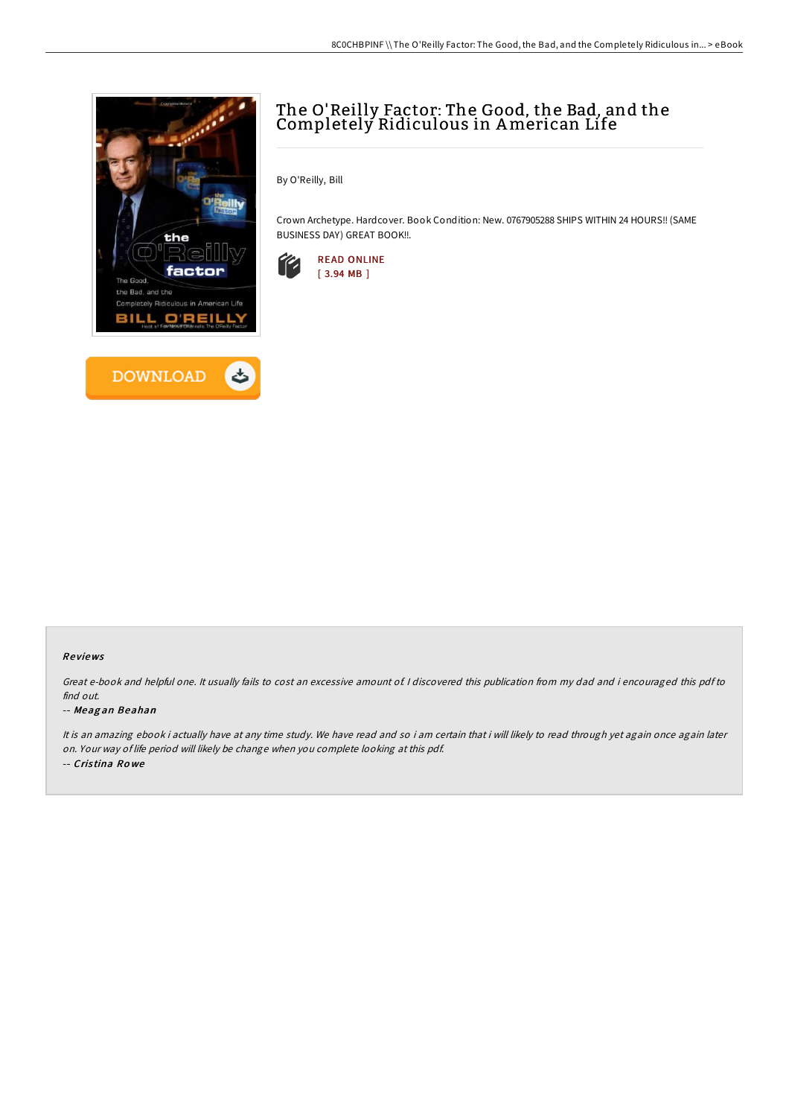



# The O'Reilly Factor: The Good, the Bad, and the Completely Ridiculous in American Life

By O'Reilly, Bill

Crown Archetype. Hardcover. Book Condition: New. 0767905288 SHIPS WITHIN 24 HOURS!! (SAME BUSINESS DAY) GREAT BOOK!!.



#### Re views

Great e-book and helpful one. It usually fails to cost an excessive amount of. <sup>I</sup> discovered this publication from my dad and i encouraged this pdf to find out.

#### -- Meag an Beahan

It is an amazing ebook i actually have at any time study. We have read and so i am certain that i will likely to read through yet again once again later on. Your way of life period will likely be change when you complete looking at this pdf. -- Cris tina Ro we